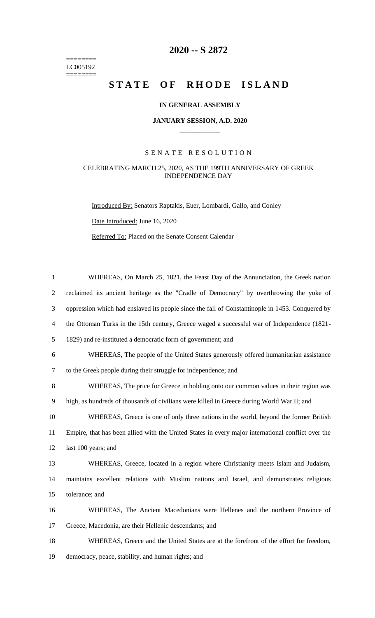======== LC005192  $=$ 

## **2020 -- S 2872**

# STATE OF RHODE ISLAND

### **IN GENERAL ASSEMBLY**

#### **JANUARY SESSION, A.D. 2020 \_\_\_\_\_\_\_\_\_\_\_\_**

## S E N A T E R E S O L U T I O N

## CELEBRATING MARCH 25, 2020, AS THE 199TH ANNIVERSARY OF GREEK INDEPENDENCE DAY

Introduced By: Senators Raptakis, Euer, Lombardi, Gallo, and Conley Date Introduced: June 16, 2020

Referred To: Placed on the Senate Consent Calendar

| 1              | WHEREAS, On March 25, 1821, the Feast Day of the Annunciation, the Greek nation                    |
|----------------|----------------------------------------------------------------------------------------------------|
| $\overline{2}$ | reclaimed its ancient heritage as the "Cradle of Democracy" by overthrowing the yoke of            |
| 3              | oppression which had enslaved its people since the fall of Constantinople in 1453. Conquered by    |
| $\overline{4}$ | the Ottoman Turks in the 15th century, Greece waged a successful war of Independence (1821-        |
| 5              | 1829) and re-instituted a democratic form of government; and                                       |
| 6              | WHEREAS, The people of the United States generously offered humanitarian assistance                |
| 7              | to the Greek people during their struggle for independence; and                                    |
| 8              | WHEREAS, The price for Greece in holding onto our common values in their region was                |
| 9              | high, as hundreds of thousands of civilians were killed in Greece during World War II; and         |
| 10             | WHEREAS, Greece is one of only three nations in the world, beyond the former British               |
| 11             | Empire, that has been allied with the United States in every major international conflict over the |
| 12             | last 100 years; and                                                                                |
| 13             | WHEREAS, Greece, located in a region where Christianity meets Islam and Judaism,                   |
| 14             | maintains excellent relations with Muslim nations and Israel, and demonstrates religious           |
| 15             | tolerance; and                                                                                     |
| 16             | WHEREAS, The Ancient Macedonians were Hellenes and the northern Province of                        |
| 17             | Greece, Macedonia, are their Hellenic descendants; and                                             |
| 18             | WHEREAS, Greece and the United States are at the forefront of the effort for freedom,              |
| 19             | democracy, peace, stability, and human rights; and                                                 |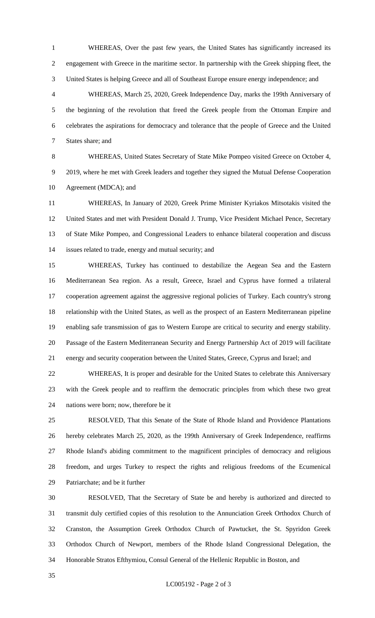WHEREAS, Over the past few years, the United States has significantly increased its engagement with Greece in the maritime sector. In partnership with the Greek shipping fleet, the United States is helping Greece and all of Southeast Europe ensure energy independence; and

 WHEREAS, March 25, 2020, Greek Independence Day, marks the 199th Anniversary of the beginning of the revolution that freed the Greek people from the Ottoman Empire and celebrates the aspirations for democracy and tolerance that the people of Greece and the United States share; and

 WHEREAS, United States Secretary of State Mike Pompeo visited Greece on October 4, 2019, where he met with Greek leaders and together they signed the Mutual Defense Cooperation Agreement (MDCA); and

 WHEREAS, In January of 2020, Greek Prime Minister Kyriakos Mitsotakis visited the United States and met with President Donald J. Trump, Vice President Michael Pence, Secretary of State Mike Pompeo, and Congressional Leaders to enhance bilateral cooperation and discuss issues related to trade, energy and mutual security; and

 WHEREAS, Turkey has continued to destabilize the Aegean Sea and the Eastern Mediterranean Sea region. As a result, Greece, Israel and Cyprus have formed a trilateral cooperation agreement against the aggressive regional policies of Turkey. Each country's strong relationship with the United States, as well as the prospect of an Eastern Mediterranean pipeline enabling safe transmission of gas to Western Europe are critical to security and energy stability. Passage of the Eastern Mediterranean Security and Energy Partnership Act of 2019 will facilitate energy and security cooperation between the United States, Greece, Cyprus and Israel; and

 WHEREAS, It is proper and desirable for the United States to celebrate this Anniversary with the Greek people and to reaffirm the democratic principles from which these two great nations were born; now, therefore be it

 RESOLVED, That this Senate of the State of Rhode Island and Providence Plantations hereby celebrates March 25, 2020, as the 199th Anniversary of Greek Independence, reaffirms Rhode Island's abiding commitment to the magnificent principles of democracy and religious freedom, and urges Turkey to respect the rights and religious freedoms of the Ecumenical Patriarchate; and be it further

 RESOLVED, That the Secretary of State be and hereby is authorized and directed to transmit duly certified copies of this resolution to the Annunciation Greek Orthodox Church of Cranston, the Assumption Greek Orthodox Church of Pawtucket, the St. Spyridon Greek Orthodox Church of Newport, members of the Rhode Island Congressional Delegation, the Honorable Stratos Efthymiou, Consul General of the Hellenic Republic in Boston, and